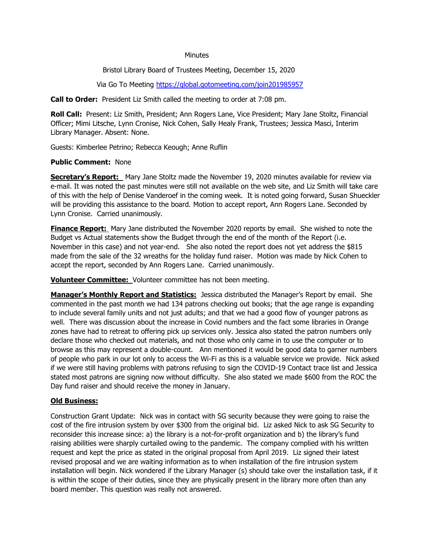#### **Minutes**

Bristol Library Board of Trustees Meeting, December 15, 2020

Via Go To Meeting<https://global.gotomeeting.com/join201985957>

**Call to Order:** President Liz Smith called the meeting to order at 7:08 pm.

**Roll Call:** Present: Liz Smith, President; Ann Rogers Lane, Vice President; Mary Jane Stoltz, Financial Officer; Mimi Litsche, Lynn Cronise, Nick Cohen, Sally Healy Frank, Trustees; Jessica Masci, Interim Library Manager. Absent: None.

Guests: Kimberlee Petrino; Rebecca Keough; Anne Ruflin

### **Public Comment:** None

**Secretary's Report:** Mary Jane Stoltz made the November 19, 2020 minutes available for review via e-mail. It was noted the past minutes were still not available on the web site, and Liz Smith will take care of this with the help of Denise Vanderoef in the coming week. It is noted going forward, Susan Shueckler will be providing this assistance to the board. Motion to accept report, Ann Rogers Lane. Seconded by Lynn Cronise. Carried unanimously.

**Finance Report:** Mary Jane distributed the November 2020 reports by email. She wished to note the Budget vs Actual statements show the Budget through the end of the month of the Report (i.e. November in this case) and not year-end. She also noted the report does not yet address the \$815 made from the sale of the 32 wreaths for the holiday fund raiser. Motion was made by Nick Cohen to accept the report, seconded by Ann Rogers Lane. Carried unanimously.

**Volunteer Committee:** Volunteer committee has not been meeting.

**Manager's Monthly Report and Statistics:** Jessica distributed the Manager's Report by email. She commented in the past month we had 134 patrons checking out books; that the age range is expanding to include several family units and not just adults; and that we had a good flow of younger patrons as well. There was discussion about the increase in Covid numbers and the fact some libraries in Orange zones have had to retreat to offering pick up services only. Jessica also stated the patron numbers only declare those who checked out materials, and not those who only came in to use the computer or to browse as this may represent a double-count. Ann mentioned it would be good data to garner numbers of people who park in our lot only to access the Wi-Fi as this is a valuable service we provide. Nick asked if we were still having problems with patrons refusing to sign the COVID-19 Contact trace list and Jessica stated most patrons are signing now without difficulty. She also stated we made \$600 from the ROC the Day fund raiser and should receive the money in January.

# **Old Business:**

Construction Grant Update: Nick was in contact with SG security because they were going to raise the cost of the fire intrusion system by over \$300 from the original bid. Liz asked Nick to ask SG Security to reconsider this increase since: a) the library is a not-for-profit organization and b) the library's fund raising abilities were sharply curtailed owing to the pandemic. The company complied with his written request and kept the price as stated in the original proposal from April 2019. Liz signed their latest revised proposal and we are waiting information as to when installation of the fire intrusion system installation will begin. Nick wondered if the Library Manager (s) should take over the installation task, if it is within the scope of their duties, since they are physically present in the library more often than any board member. This question was really not answered.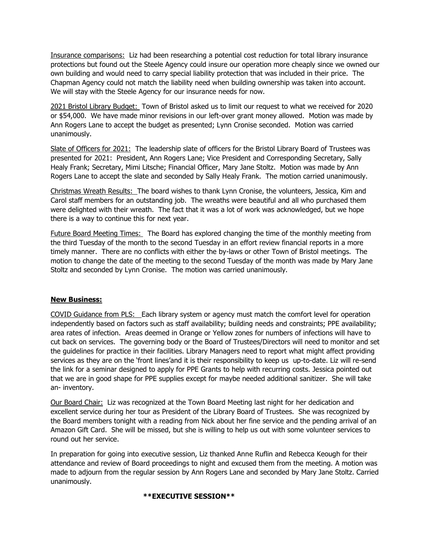Insurance comparisons: Liz had been researching a potential cost reduction for total library insurance protections but found out the Steele Agency could insure our operation more cheaply since we owned our own building and would need to carry special liability protection that was included in their price. The Chapman Agency could not match the liability need when building ownership was taken into account. We will stay with the Steele Agency for our insurance needs for now.

2021 Bristol Library Budget: Town of Bristol asked us to limit our request to what we received for 2020 or \$54,000. We have made minor revisions in our left-over grant money allowed. Motion was made by Ann Rogers Lane to accept the budget as presented; Lynn Cronise seconded. Motion was carried unanimously.

Slate of Officers for 2021: The leadership slate of officers for the Bristol Library Board of Trustees was presented for 2021: President, Ann Rogers Lane; Vice President and Corresponding Secretary, Sally Healy Frank; Secretary, Mimi Litsche; Financial Officer, Mary Jane Stoltz. Motion was made by Ann Rogers Lane to accept the slate and seconded by Sally Healy Frank. The motion carried unanimously.

Christmas Wreath Results: The board wishes to thank Lynn Cronise, the volunteers, Jessica, Kim and Carol staff members for an outstanding job. The wreaths were beautiful and all who purchased them were delighted with their wreath. The fact that it was a lot of work was acknowledged, but we hope there is a way to continue this for next year.

Future Board Meeting Times: The Board has explored changing the time of the monthly meeting from the third Tuesday of the month to the second Tuesday in an effort review financial reports in a more timely manner. There are no conflicts with either the by-laws or other Town of Bristol meetings. The motion to change the date of the meeting to the second Tuesday of the month was made by Mary Jane Stoltz and seconded by Lynn Cronise. The motion was carried unanimously.

# **New Business:**

COVID Guidance from PLS: Each library system or agency must match the comfort level for operation independently based on factors such as staff availability; building needs and constraints; PPE availability; area rates of infection. Areas deemed in Orange or Yellow zones for numbers of infections will have to cut back on services. The governing body or the Board of Trustees/Directors will need to monitor and set the guidelines for practice in their facilities. Library Managers need to report what might affect providing services as they are on the 'front lines'and it is their responsibility to keep us up-to-date. Liz will re-send the link for a seminar designed to apply for PPE Grants to help with recurring costs. Jessica pointed out that we are in good shape for PPE supplies except for maybe needed additional sanitizer. She will take an- inventory.

Our Board Chair: Liz was recognized at the Town Board Meeting last night for her dedication and excellent service during her tour as President of the Library Board of Trustees. She was recognized by the Board members tonight with a reading from Nick about her fine service and the pending arrival of an Amazon Gift Card. She will be missed, but she is willing to help us out with some volunteer services to round out her service.

In preparation for going into executive session, Liz thanked Anne Ruflin and Rebecca Keough for their attendance and review of Board proceedings to night and excused them from the meeting. A motion was made to adjourn from the regular session by Ann Rogers Lane and seconded by Mary Jane Stoltz. Carried unanimously.

#### **\*\*EXECUTIVE SESSION\*\***